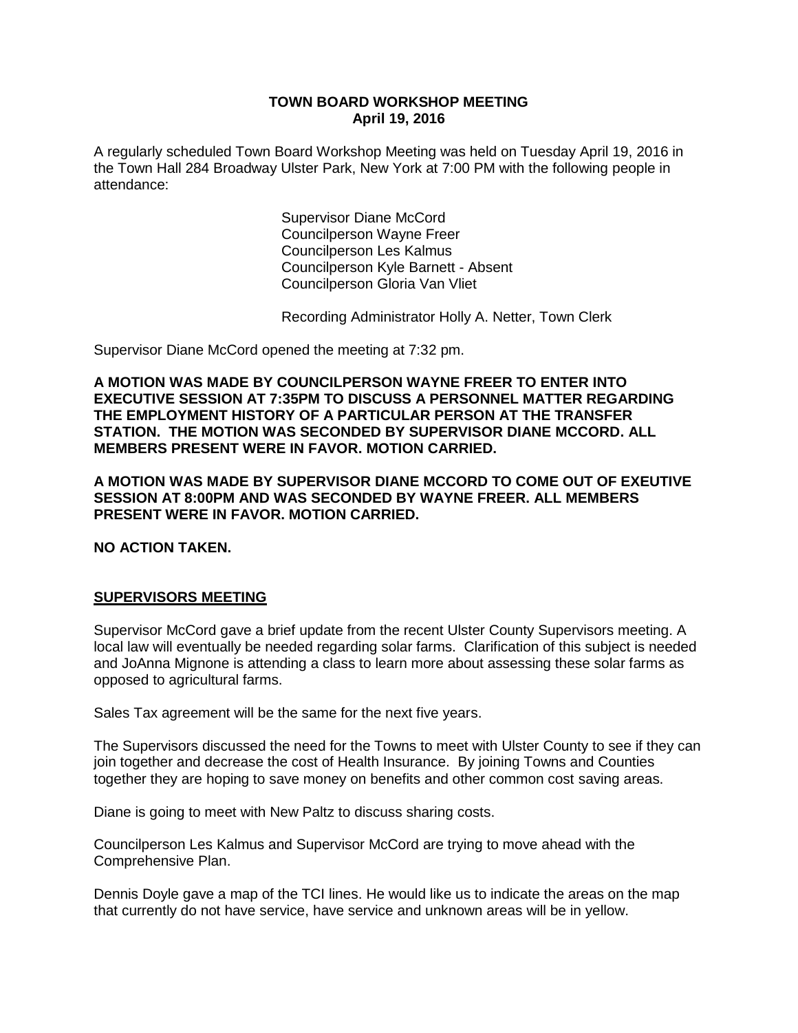#### **TOWN BOARD WORKSHOP MEETING April 19, 2016**

A regularly scheduled Town Board Workshop Meeting was held on Tuesday April 19, 2016 in the Town Hall 284 Broadway Ulster Park, New York at 7:00 PM with the following people in attendance:

> Supervisor Diane McCord Councilperson Wayne Freer Councilperson Les Kalmus Councilperson Kyle Barnett - Absent Councilperson Gloria Van Vliet

Recording Administrator Holly A. Netter, Town Clerk

Supervisor Diane McCord opened the meeting at 7:32 pm.

**A MOTION WAS MADE BY COUNCILPERSON WAYNE FREER TO ENTER INTO EXECUTIVE SESSION AT 7:35PM TO DISCUSS A PERSONNEL MATTER REGARDING THE EMPLOYMENT HISTORY OF A PARTICULAR PERSON AT THE TRANSFER STATION. THE MOTION WAS SECONDED BY SUPERVISOR DIANE MCCORD. ALL MEMBERS PRESENT WERE IN FAVOR. MOTION CARRIED.** 

**A MOTION WAS MADE BY SUPERVISOR DIANE MCCORD TO COME OUT OF EXEUTIVE SESSION AT 8:00PM AND WAS SECONDED BY WAYNE FREER. ALL MEMBERS PRESENT WERE IN FAVOR. MOTION CARRIED.**

**NO ACTION TAKEN.**

### **SUPERVISORS MEETING**

Supervisor McCord gave a brief update from the recent Ulster County Supervisors meeting. A local law will eventually be needed regarding solar farms. Clarification of this subject is needed and JoAnna Mignone is attending a class to learn more about assessing these solar farms as opposed to agricultural farms.

Sales Tax agreement will be the same for the next five years.

The Supervisors discussed the need for the Towns to meet with Ulster County to see if they can join together and decrease the cost of Health Insurance. By joining Towns and Counties together they are hoping to save money on benefits and other common cost saving areas.

Diane is going to meet with New Paltz to discuss sharing costs.

Councilperson Les Kalmus and Supervisor McCord are trying to move ahead with the Comprehensive Plan.

Dennis Doyle gave a map of the TCI lines. He would like us to indicate the areas on the map that currently do not have service, have service and unknown areas will be in yellow.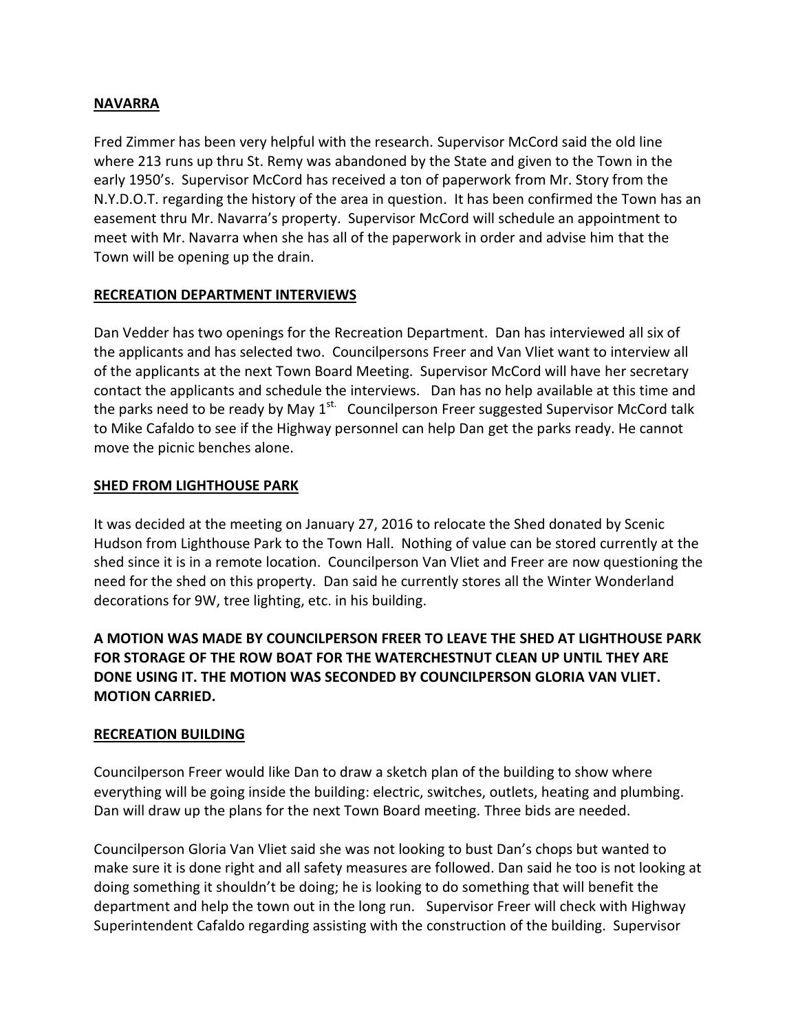# **NAVARRA**

Fred Zimmer has been very helpful with the research. Supervisor McCord said the old line where 213 runs up thru St. Remy was abandoned by the State and given to the Town in the early 1950's. Supervisor McCord has received a ton of paperwork from Mr. Story from the N.Y.D.O.T. regarding the history of the area in question. It has been confirmed the Town has an easement thru Mr. Navarra's property. Supervisor McCord will schedule an appointment to meet with Mr. Navarra when she has all of the paperwork in order and advise him that the Town will be opening up the drain.

# **RECREATION DEPARTMENT INTERVIEWS**

Dan Vedder has two openings for the Recreation Department. Dan has interviewed all six of the applicants and has selected two. Councilpersons Freer and Van Vliet want to interview all of the applicants at the next Town Board Meeting. Supervisor McCord will have her secretary contact the applicants and schedule the interviews. Dan has no help available at this time and the parks need to be ready by May  $1^{st}$ . Councilperson Freer suggested Supervisor McCord talk to Mike Cafaldo to see if the Highway personnel can help Dan get the parks ready. He cannot move the picnic benches alone.

# **SHED FROM LIGHTHOUSE PARK**

It was decided at the meeting on January 27, 2016 to relocate the Shed donated by Scenic Hudson from Lighthouse Park to the Town Hall. Nothing of value can be stored currently at the shed since it is in a remote location. Councilperson Van Vliet and Freer are now questioning the need for the shed on this property. Dan said he currently stores all the Winter Wonderland decorations for 9W, tree lighting, etc. in his building.

# **A MOTION WAS MADE BY COUNCILPERSON FREER TO LEAVE THE SHED AT LIGHTHOUSE PARK FOR STORAGE OF THE ROW BOAT FOR THE WATERCHESTNUT CLEAN UP UNTIL THEY ARE DONE USING IT. THE MOTION WAS SECONDED BY COUNCILPERSON GLORIA VAN VLIET. MOTION CARRIED.**

# **RECREATION BUILDING**

Councilperson Freer would like Dan to draw a sketch plan of the building to show where everything will be going inside the building: electric, switches, outlets, heating and plumbing. Dan will draw up the plans for the next Town Board meeting. Three bids are needed.

Councilperson Gloria Van Vliet said she was not looking to bust Dan's chops but wanted to make sure it is done right and all safety measures are followed. Dan said he too is not looking at doing something it shouldn't be doing; he is looking to do something that will benefit the department and help the town out in the long run. Supervisor Freer will check with Highway Superintendent Cafaldo regarding assisting with the construction of the building. Supervisor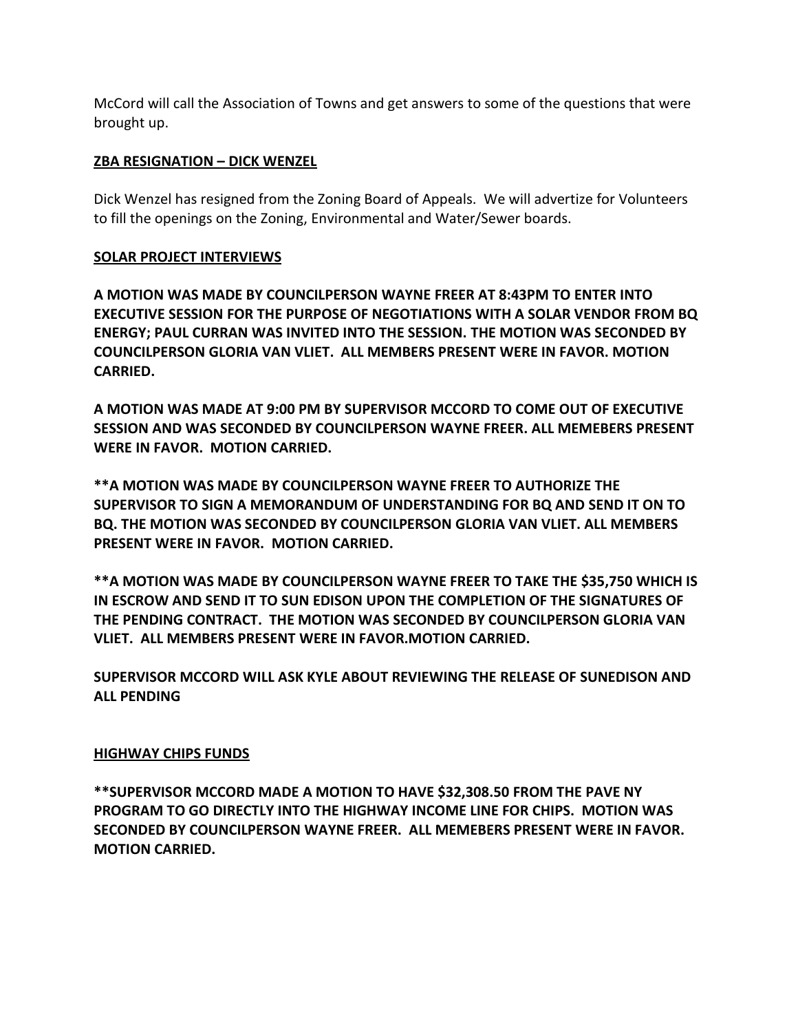McCord will call the Association of Towns and get answers to some of the questions that were brought up.

### **ZBA RESIGNATION – DICK WENZEL**

Dick Wenzel has resigned from the Zoning Board of Appeals. We will advertize for Volunteers to fill the openings on the Zoning, Environmental and Water/Sewer boards.

### **SOLAR PROJECT INTERVIEWS**

**A MOTION WAS MADE BY COUNCILPERSON WAYNE FREER AT 8:43PM TO ENTER INTO EXECUTIVE SESSION FOR THE PURPOSE OF NEGOTIATIONS WITH A SOLAR VENDOR FROM BQ ENERGY; PAUL CURRAN WAS INVITED INTO THE SESSION. THE MOTION WAS SECONDED BY COUNCILPERSON GLORIA VAN VLIET. ALL MEMBERS PRESENT WERE IN FAVOR. MOTION CARRIED.**

**A MOTION WAS MADE AT 9:00 PM BY SUPERVISOR MCCORD TO COME OUT OF EXECUTIVE SESSION AND WAS SECONDED BY COUNCILPERSON WAYNE FREER. ALL MEMEBERS PRESENT WERE IN FAVOR. MOTION CARRIED.** 

**\*\*A MOTION WAS MADE BY COUNCILPERSON WAYNE FREER TO AUTHORIZE THE SUPERVISOR TO SIGN A MEMORANDUM OF UNDERSTANDING FOR BQ AND SEND IT ON TO BQ. THE MOTION WAS SECONDED BY COUNCILPERSON GLORIA VAN VLIET. ALL MEMBERS PRESENT WERE IN FAVOR. MOTION CARRIED.**

**\*\*A MOTION WAS MADE BY COUNCILPERSON WAYNE FREER TO TAKE THE \$35,750 WHICH IS IN ESCROW AND SEND IT TO SUN EDISON UPON THE COMPLETION OF THE SIGNATURES OF THE PENDING CONTRACT. THE MOTION WAS SECONDED BY COUNCILPERSON GLORIA VAN VLIET. ALL MEMBERS PRESENT WERE IN FAVOR.MOTION CARRIED.** 

**SUPERVISOR MCCORD WILL ASK KYLE ABOUT REVIEWING THE RELEASE OF SUNEDISON AND ALL PENDING**

#### **HIGHWAY CHIPS FUNDS**

**\*\*SUPERVISOR MCCORD MADE A MOTION TO HAVE \$32,308.50 FROM THE PAVE NY PROGRAM TO GO DIRECTLY INTO THE HIGHWAY INCOME LINE FOR CHIPS. MOTION WAS SECONDED BY COUNCILPERSON WAYNE FREER. ALL MEMEBERS PRESENT WERE IN FAVOR. MOTION CARRIED.**